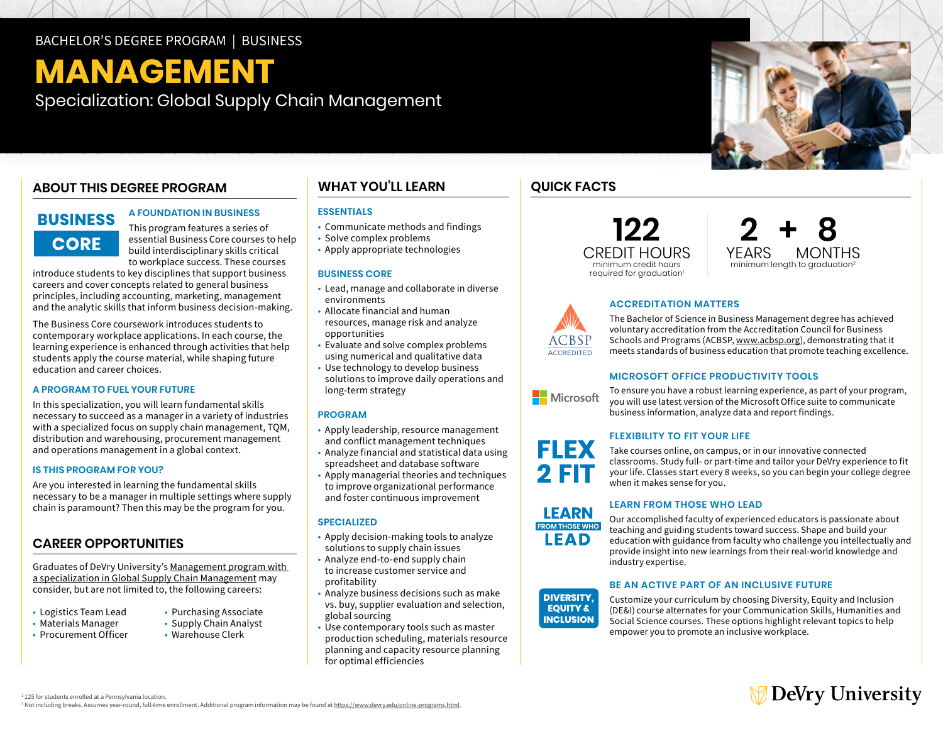### BACHELOR'S DEGREE PROGRAM | BUSINESS

# **MANAGEMENT**

Specialization: Global Supply Chain Management

## **ABOUT THIS DEGREE PROGRAM**

# **BUSINESS CORE**

#### **A FOUNDATION IN BUSINESS**

This program features a series of essential Business Core courses to help build interdisciplinary skills critical to workplace success. These courses

introduce students to key disciplines that support business careers and cover concepts related to general business principles, including accounting, marketing, management and the analytic skills that inform business decision-making.

The Business Core coursework introduces students to contemporary workplace applications. In each course, the learning experience is enhanced through activities that help students apply the course material, while shaping future education and career choices.

#### **A PROGRAM TO FUEL YOUR FUTURE**

In this specialization, you will learn fundamental skills necessary to succeed as a manager in a variety of industries with a specialized focus on supply chain management, TQM, distribution and warehousing, procurement management and operations management in a global context.

#### **IS THIS PROGRAM FOR YOU?**

Are you interested in learning the fundamental skills necessary to be a manager in multiple settings where supply chain is paramount? Then this may be the program for you.

#### **CAREER OPPORTUNITIES**

Graduates of DeVry University's [Management program with](https://www.devry.edu/online-programs/bachelors-degrees/business/global-supply-chain-management-specialization.html)  [a specialization in Global Supply Chain Management](https://www.devry.edu/online-programs/bachelors-degrees/business/global-supply-chain-management-specialization.html) may consider, but are not limited to, the following careers:

- Logistics Team Lead
- Materials Manager Supply Chain Analyst<br>• Procurement Officer Warehouse Clerk
- $\cdot$  Procurement Officer
- Purchasing Associate
- 
- 

## **WHAT YOU'LL LEARN**

#### **ESSENTIALS**

- Communicate methods and findings
- Solve complex problems
- Apply appropriate technologies

#### **BUSINESS CORE**

- • Lead, manage and collaborate in diverse environments
- • Allocate financial and human opportunities resources, manage risk and analyze
- opportunities Evaluate and solve complex problems using numerical and qualitative data
- • Use technology to develop business solutions to improve daily operations and long-term strategy

#### **PROGRAM**

- • Apply leadership, resource management and conflict management techniques
- • Analyze financial and statistical data using spreadsheet and database software
- • Apply managerial theories and techniques to improve organizational performance and foster continuous improvement

#### **SPECIALIZED**

- • Apply decision-making tools to analyze solutions to supply chain issues
- • Analyze end-to-end supply chain to increase customer service and profitability
- • Analyze business decisions such as make vs. buy, supplier evaluation and selection, global sourcing
- • Use contemporary tools such as master production scheduling, materials resource planning and capacity resource planning for optimal efficiencies

## **QUICK FACTS**





#### **ACCREDITATION MATTERS**

The Bachelor of Science in Business Management degree has achieved voluntary accreditation from the Accreditation Council for Business Schools and Programs (ACBSP, [www.acbsp.org](http://www.acbsp.org)), demonstrating that it meets standards of business education that promote teaching excellence.

#### **MICROSOFT OFFICE PRODUCTIVITY TOOLS**

To ensure you have a robust learning experience, as part of your program, Microsoft you will use latest version of the Microsoft Office suite to communicate business information, analyze data and report findings.

#### **FLEXIBILITY TO FIT YOUR LIFE**



**LEARN ROM THOSE WHO** LEAD

**ACCREDITED** 

**EQUITY &** 

Take courses online, on campus, or in our innovative connected classrooms. Study full- or part-time and tailor your DeVry experience to fit your life. Classes start every 8 weeks, so you can begin your college degree when it makes sense for you.

#### **LEARN FROM THOSE WHO LEAD**

Our accomplished faculty of experienced educators is passionate about teaching and guiding students toward success. Shape and build your education with guidance from faculty who challenge you intellectually and provide insight into new learnings from their real-world knowledge and industry expertise.

#### **BE AN ACTIVE PART OF AN INCLUSIVE FUTURE**

Customize your curriculum by choosing Diversity, Equity and Inclusion (DE&I) course alternates for your Communication Skills, Humanities and Social Science courses. These options highlight relevant topics to help empower you to promote an inclusive workplace. **DIVERSITY, INCLUSION** 



<sup>1</sup> 125 for students enrolled at a Pennsylvania location.

<sup>2</sup> Not including breaks. Assumes year-round, full-time enrollment. Additional program information may be found at https://www.devry.edu/online-programs.html